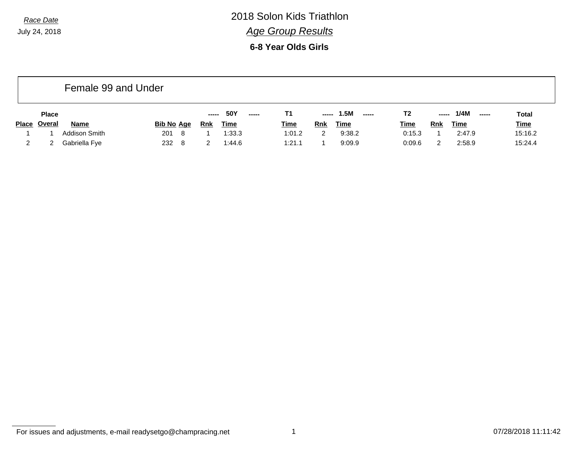**6-8 Year Olds Girls**

|              | Female 99 and Under |               |                   |     |             |        |             |            |                       |             |            |                       |              |  |
|--------------|---------------------|---------------|-------------------|-----|-------------|--------|-------------|------------|-----------------------|-------------|------------|-----------------------|--------------|--|
|              | <b>Place</b>        |               |                   |     | 50Y         | ------ | Т1          | -----      | 1.5M<br>$\frac{1}{2}$ | T2          | -----      | 1/4M<br>$\frac{1}{2}$ | <b>Total</b> |  |
| <b>Place</b> | <u>Overal</u>       | <b>Name</b>   | <b>Bib No Age</b> | Rnk | <u>Time</u> |        | <b>Time</b> | <b>Rnk</b> | <u>Time</u>           | <u>Time</u> | <b>Rnk</b> | <u>Time</u>           | <b>Time</b>  |  |
|              |                     | Addison Smith | 201<br>-8         |     | 1:33.3      |        | 1:01.2      |            | 9:38.2                | 0:15.3      |            | 2:47.9                | 15:16.2      |  |
|              |                     | Gabriella Fye | 232<br>-8         |     | 1:44.6      |        | 1:21.1      |            | 9:09.9                | 0:09.6      |            | 2:58.9                | 15:24.4      |  |

For issues and adjustments, e-mail readysetgo@champracing.net 1 07/28/2018 11:11:42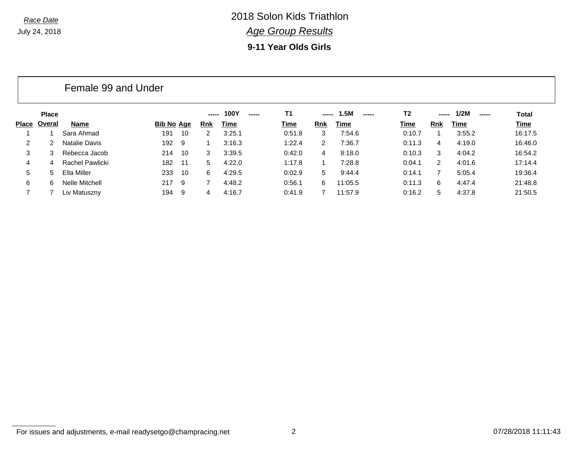**9-11 Year Olds Girls**

|       | Female 99 and Under |                 |                   |       |            |                |           |       |               |        |        |               |         |
|-------|---------------------|-----------------|-------------------|-------|------------|----------------|-----------|-------|---------------|--------|--------|---------------|---------|
|       | <b>Place</b>        |                 |                   |       | -----      | 100Y<br>------ | <b>T1</b> | ----- | 1.5M<br>----- | T2     | ------ | 1/2M<br>----- | Total   |
| Place | Overal              | Name            | <u>Bib No Age</u> |       | <b>Rnk</b> | Time           | Time      | Rnk   | Time          | Time   | Rnk    | Time          | Time    |
|       |                     | Sara Ahmad      | 191               | -10   | 2          | 3:25.1         | 0:51.8    | 3     | 7:54.6        | 0:10.7 |        | 3:55.2        | 16:17.5 |
| 2     | $\overline{2}$      | Natalie Davis   | 192 9             |       |            | 3:16.3         | 1:22.4    | 2     | 7:36.7        | 0:11.3 | 4      | 4:19.0        | 16:46.0 |
| 3     | 3.                  | Rebecca Jacob   | 214               | - 10  | 3          | 3:39.5         | 0:42.0    | 4     | 8:18.0        | 0:10.3 | 3      | 4:04.2        | 16:54.2 |
| 4     | $\overline{4}$      | Rachel Pawlicki | 182               | $-11$ | 5          | 4:22.0         | 1:17.8    |       | 7:28.8        | 0:04.1 | 2      | 4:01.6        | 17:14.4 |
| 5     | 5.                  | Ella Miller     | 233               | - 10  | 6          | 4:29.5         | 0:02.9    | 5     | 9:44.4        | 0:14.1 |        | 5:05.4        | 19:36.4 |
| 6     | 6.                  | Nelle Mitchell  | 217               | - 9   | 7          | 4:48.2         | 0:56.1    | 6.    | 11:05.5       | 0:11.3 | 6      | 4:47.4        | 21:48.8 |
|       |                     | Liv Matuszny    | 194               | - 9   | 4          | 4:16.7         | 0:41.9    |       | 11:57.9       | 0:16.2 | 5      | 4:37.8        | 21:50.5 |

For issues and adjustments, e-mail readysetgo@champracing.net 2 07/28/2018 11:11:43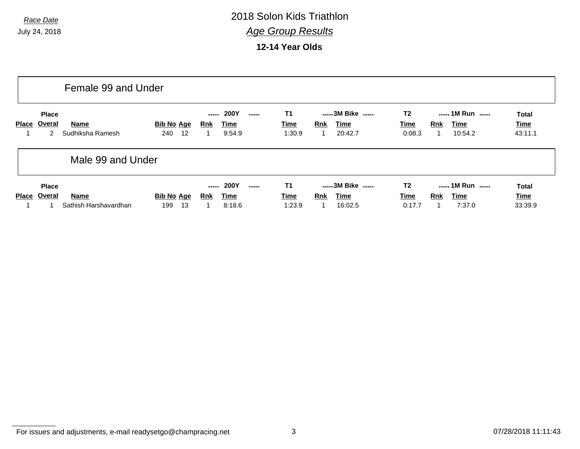**12-14 Year Olds**

|              |                                         | Female 99 and Under           |                                |                     |                               |        |                             |            |                                              |                                  |     |                                             |                                 |
|--------------|-----------------------------------------|-------------------------------|--------------------------------|---------------------|-------------------------------|--------|-----------------------------|------------|----------------------------------------------|----------------------------------|-----|---------------------------------------------|---------------------------------|
| Place        | <b>Place</b><br>Overal<br>$\mathcal{P}$ | Name<br>Sudhiksha Ramesh      | Bib No Age<br>240<br>-12       | -----<br><b>Rnk</b> | <b>200Y</b><br>Time<br>9:54.9 | ------ | T1<br>Time<br>1:30.9        | <b>Rnk</b> | -----3M Bike -----<br>Time<br>20:42.7        | T <sub>2</sub><br>Time<br>0:08.3 | Rnk | ----- 1M Run -----<br>Time<br>10:54.2       | <b>Total</b><br>Time<br>43:11.1 |
|              | Male 99 and Under                       |                               |                                |                     |                               |        |                             |            |                                              |                                  |     |                                             |                                 |
| <b>Place</b> | <b>Place</b><br>Overal                  | Name<br>Sathish Harshavardhan | <b>Bib No Age</b><br>13<br>199 | -----<br><b>Rnk</b> | 200Y<br><b>Time</b><br>8:18.6 | ------ | T1<br><b>Time</b><br>1:23.9 | Rnk<br>1   | -----3M Bike -----<br><b>Time</b><br>16:02.5 | T <sub>2</sub><br>Time<br>0:17.7 | Rnk | $--- 1M Run$ $---$<br><b>Time</b><br>7:37.0 | <b>Total</b><br>Time<br>33:39.9 |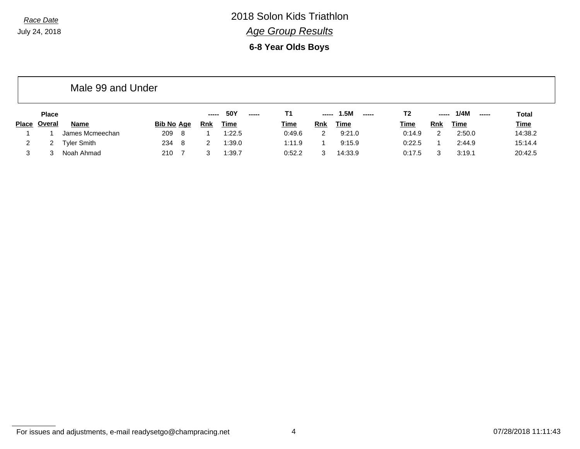**6-8 Year Olds Boys**

|                |              | Male 99 and Under  |                   |   |            |             |       |             |     |               |             |       |                |              |
|----------------|--------------|--------------------|-------------------|---|------------|-------------|-------|-------------|-----|---------------|-------------|-------|----------------|--------------|
|                | <b>Place</b> |                    |                   |   | -----      | 50Y         | ----- | Т1          |     | 1.5M<br>----- | T2          | ----- | 1/4M<br>$\sim$ | <b>Total</b> |
| <b>Place</b>   | Overal       | <b>Name</b>        | <u>Bib No_Age</u> |   | <u>Rnk</u> | <u>Time</u> |       | <b>Time</b> | Rnk | Time          | <b>Time</b> | Rnk   | Time           | <b>Time</b>  |
|                |              | James Mcmeechan    | 209               | 8 |            | 1:22.5      |       | 0:49.6      | 2   | 9:21.0        | 0:14.9      | 2     | 2:50.0         | 14:38.2      |
| $\overline{2}$ |              | <b>Tyler Smith</b> | 234               | 8 | 2          | 1:39.0      |       | 1:11.9      |     | 9:15.9        | 0:22.5      |       | 2:44.9         | 15:14.4      |
| 3              |              | Noah Ahmad         | 210               |   | 3          | 1:39.7      |       | 0:52.2      | 3   | 14:33.9       | 0:17.5      | 3     | 3:19.1         | 20:42.5      |